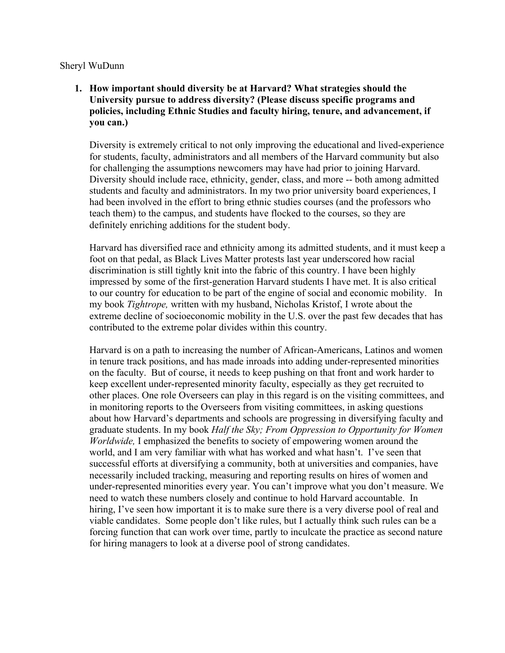#### Sheryl WuDunn

# **1. How important should diversity be at Harvard? What strategies should the University pursue to address diversity? (Please discuss specific programs and policies, including Ethnic Studies and faculty hiring, tenure, and advancement, if you can.)**

Diversity is extremely critical to not only improving the educational and lived-experience for students, faculty, administrators and all members of the Harvard community but also for challenging the assumptions newcomers may have had prior to joining Harvard. Diversity should include race, ethnicity, gender, class, and more -- both among admitted students and faculty and administrators. In my two prior university board experiences, I had been involved in the effort to bring ethnic studies courses (and the professors who teach them) to the campus, and students have flocked to the courses, so they are definitely enriching additions for the student body.

Harvard has diversified race and ethnicity among its admitted students, and it must keep a foot on that pedal, as Black Lives Matter protests last year underscored how racial discrimination is still tightly knit into the fabric of this country. I have been highly impressed by some of the first-generation Harvard students I have met. It is also critical to our country for education to be part of the engine of social and economic mobility. In my book *Tightrope,* written with my husband, Nicholas Kristof, I wrote about the extreme decline of socioeconomic mobility in the U.S. over the past few decades that has contributed to the extreme polar divides within this country.

Harvard is on a path to increasing the number of African-Americans, Latinos and women in tenure track positions, and has made inroads into adding under-represented minorities on the faculty. But of course, it needs to keep pushing on that front and work harder to keep excellent under-represented minority faculty, especially as they get recruited to other places. One role Overseers can play in this regard is on the visiting committees, and in monitoring reports to the Overseers from visiting committees, in asking questions about how Harvard's departments and schools are progressing in diversifying faculty and graduate students. In my book *Half the Sky; From Oppression to Opportunity for Women Worldwide,* I emphasized the benefits to society of empowering women around the world, and I am very familiar with what has worked and what hasn't. I've seen that successful efforts at diversifying a community, both at universities and companies, have necessarily included tracking, measuring and reporting results on hires of women and under-represented minorities every year. You can't improve what you don't measure. We need to watch these numbers closely and continue to hold Harvard accountable. In hiring, I've seen how important it is to make sure there is a very diverse pool of real and viable candidates. Some people don't like rules, but I actually think such rules can be a forcing function that can work over time, partly to inculcate the practice as second nature for hiring managers to look at a diverse pool of strong candidates.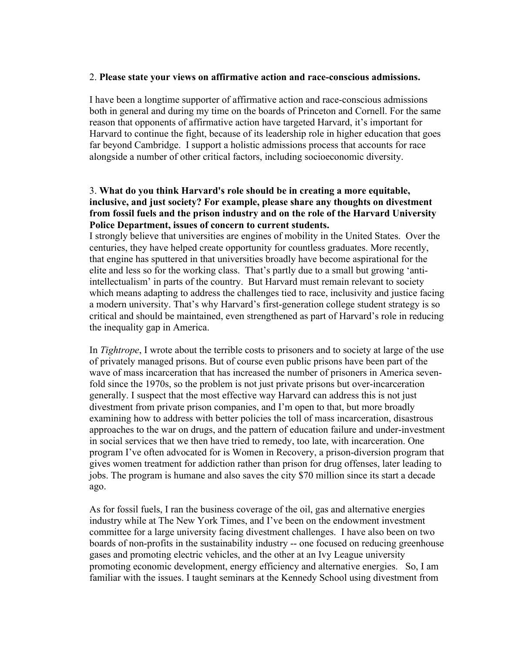#### 2. **Please state your views on affirmative action and race-conscious admissions.**

I have been a longtime supporter of affirmative action and race-conscious admissions both in general and during my time on the boards of Princeton and Cornell. For the same reason that opponents of affirmative action have targeted Harvard, it's important for Harvard to continue the fight, because of its leadership role in higher education that goes far beyond Cambridge. I support a holistic admissions process that accounts for race alongside a number of other critical factors, including socioeconomic diversity.

## 3. **What do you think Harvard's role should be in creating a more equitable, inclusive, and just society? For example, please share any thoughts on divestment from fossil fuels and the prison industry and on the role of the Harvard University Police Department, issues of concern to current students.**

I strongly believe that universities are engines of mobility in the United States. Over the centuries, they have helped create opportunity for countless graduates. More recently, that engine has sputtered in that universities broadly have become aspirational for the elite and less so for the working class. That's partly due to a small but growing 'antiintellectualism' in parts of the country. But Harvard must remain relevant to society which means adapting to address the challenges tied to race, inclusivity and justice facing a modern university. That's why Harvard's first-generation college student strategy is so critical and should be maintained, even strengthened as part of Harvard's role in reducing the inequality gap in America.

In *Tightrope*, I wrote about the terrible costs to prisoners and to society at large of the use of privately managed prisons. But of course even public prisons have been part of the wave of mass incarceration that has increased the number of prisoners in America sevenfold since the 1970s, so the problem is not just private prisons but over-incarceration generally. I suspect that the most effective way Harvard can address this is not just divestment from private prison companies, and I'm open to that, but more broadly examining how to address with better policies the toll of mass incarceration, disastrous approaches to the war on drugs, and the pattern of education failure and under-investment in social services that we then have tried to remedy, too late, with incarceration. One program I've often advocated for is Women in Recovery, a prison-diversion program that gives women treatment for addiction rather than prison for drug offenses, later leading to jobs. The program is humane and also saves the city \$70 million since its start a decade ago.

As for fossil fuels, I ran the business coverage of the oil, gas and alternative energies industry while at The New York Times, and I've been on the endowment investment committee for a large university facing divestment challenges. I have also been on two boards of non-profits in the sustainability industry -- one focused on reducing greenhouse gases and promoting electric vehicles, and the other at an Ivy League university promoting economic development, energy efficiency and alternative energies. So, I am familiar with the issues. I taught seminars at the Kennedy School using divestment from